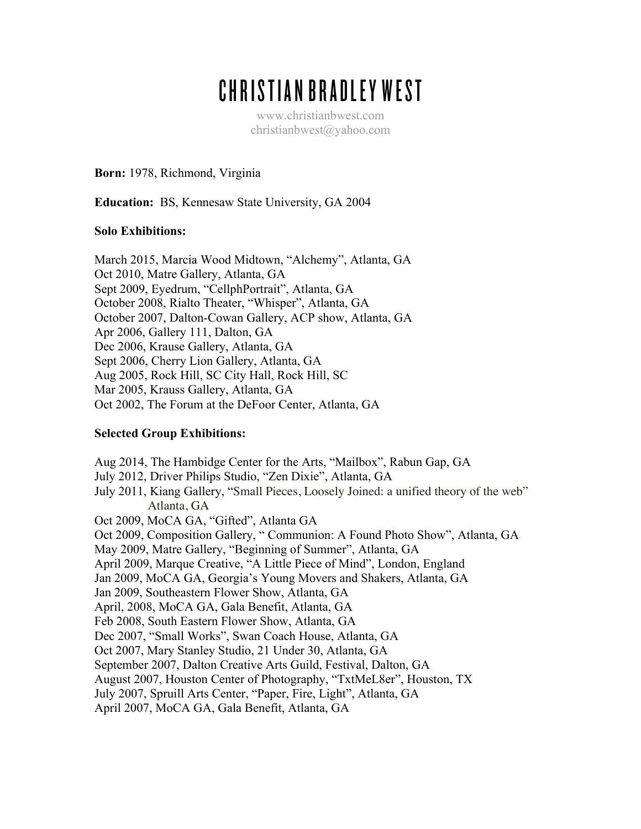# CHRISTIAN BRADLEY WEST

www.christianbwest.com christianbwest@yahoo.com

**Born:** 1978, Richmond, Virginia

**Education:** BS, Kennesaw State University, GA 2004

### **Solo Exhibitions:**

March 2015, Marcia Wood Midtown, "Alchemy", Atlanta, GA Oct 2010, Matre Gallery, Atlanta, GA Sept 2009, Eyedrum, "CellphPortrait", Atlanta, GA October 2008, Rialto Theater, "Whisper", Atlanta, GA October 2007, Dalton-Cowan Gallery, ACP show, Atlanta, GA Apr 2006, Gallery 111, Dalton, GA Dec 2006, Krause Gallery, Atlanta, GA Sept 2006, Cherry Lion Gallery, Atlanta, GA Aug 2005, Rock Hill, SC City Hall, Rock Hill, SC Mar 2005, Krauss Gallery, Atlanta, GA Oct 2002, The Forum at the DeFoor Center, Atlanta, GA

## **Selected Group Exhibitions:**

Aug 2014, The Hambidge Center for the Arts, "Mailbox", Rabun Gap, GA July 2012, Driver Philips Studio, "Zen Dixie", Atlanta, GA July 2011, Kiang Gallery, "Small Pieces, Loosely Joined: a unified theory of the web" Atlanta, GA Oct 2009, MoCA GA, "Gifted", Atlanta GA Oct 2009, Composition Gallery, " Communion: A Found Photo Show", Atlanta, GA May 2009, Matre Gallery, "Beginning of Summer", Atlanta, GA April 2009, Marque Creative, "A Little Piece of Mind", London, England Jan 2009, MoCA GA, Georgia's Young Movers and Shakers, Atlanta, GA Jan 2009, Southeastern Flower Show, Atlanta, GA April, 2008, MoCA GA, Gala Benefit, Atlanta, GA Feb 2008, South Eastern Flower Show, Atlanta, GA Dec 2007, "Small Works", Swan Coach House, Atlanta, GA Oct 2007, Mary Stanley Studio, 21 Under 30, Atlanta, GA September 2007, Dalton Creative Arts Guild, Festival, Dalton, GA August 2007, Houston Center of Photography, "TxtMeL8er", Houston, TX July 2007, Spruill Arts Center, "Paper, Fire, Light", Atlanta, GA April 2007, MoCA GA, Gala Benefit, Atlanta, GA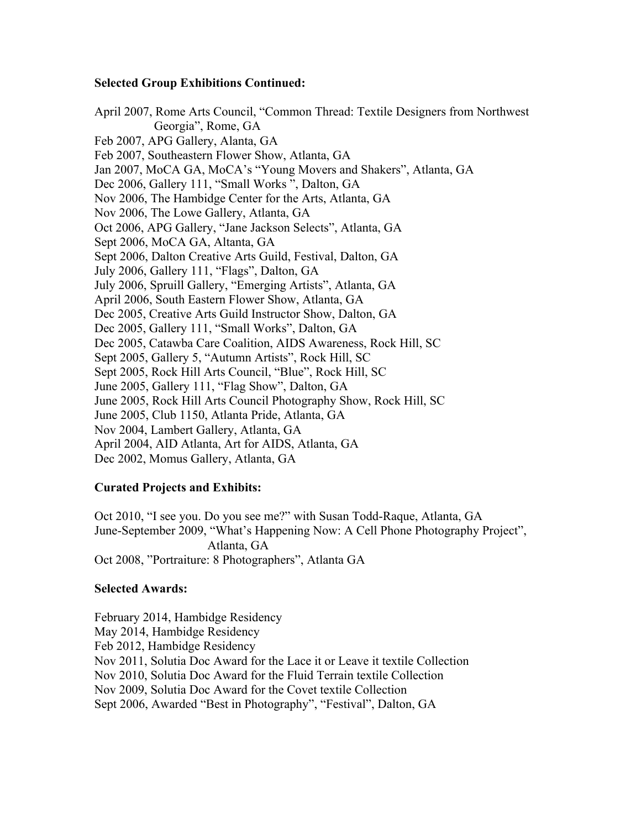#### **Selected Group Exhibitions Continued:**

April 2007, Rome Arts Council, "Common Thread: Textile Designers from Northwest Georgia", Rome, GA Feb 2007, APG Gallery, Alanta, GA Feb 2007, Southeastern Flower Show, Atlanta, GA Jan 2007, MoCA GA, MoCA's "Young Movers and Shakers", Atlanta, GA Dec 2006, Gallery 111, "Small Works ", Dalton, GA Nov 2006, The Hambidge Center for the Arts, Atlanta, GA Nov 2006, The Lowe Gallery, Atlanta, GA Oct 2006, APG Gallery, "Jane Jackson Selects", Atlanta, GA Sept 2006, MoCA GA, Altanta, GA Sept 2006, Dalton Creative Arts Guild, Festival, Dalton, GA July 2006, Gallery 111, "Flags", Dalton, GA July 2006, Spruill Gallery, "Emerging Artists", Atlanta, GA April 2006, South Eastern Flower Show, Atlanta, GA Dec 2005, Creative Arts Guild Instructor Show, Dalton, GA Dec 2005, Gallery 111, "Small Works", Dalton, GA Dec 2005, Catawba Care Coalition, AIDS Awareness, Rock Hill, SC Sept 2005, Gallery 5, "Autumn Artists", Rock Hill, SC Sept 2005, Rock Hill Arts Council, "Blue", Rock Hill, SC June 2005, Gallery 111, "Flag Show", Dalton, GA June 2005, Rock Hill Arts Council Photography Show, Rock Hill, SC June 2005, Club 1150, Atlanta Pride, Atlanta, GA Nov 2004, Lambert Gallery, Atlanta, GA April 2004, AID Atlanta, Art for AIDS, Atlanta, GA Dec 2002, Momus Gallery, Atlanta, GA

#### **Curated Projects and Exhibits:**

Oct 2010, "I see you. Do you see me?" with Susan Todd-Raque, Atlanta, GA June-September 2009, "What's Happening Now: A Cell Phone Photography Project", Atlanta, GA Oct 2008, "Portraiture: 8 Photographers", Atlanta GA

#### **Selected Awards:**

February 2014, Hambidge Residency May 2014, Hambidge Residency Feb 2012, Hambidge Residency Nov 2011, Solutia Doc Award for the Lace it or Leave it textile Collection Nov 2010, Solutia Doc Award for the Fluid Terrain textile Collection Nov 2009, Solutia Doc Award for the Covet textile Collection Sept 2006, Awarded "Best in Photography", "Festival", Dalton, GA